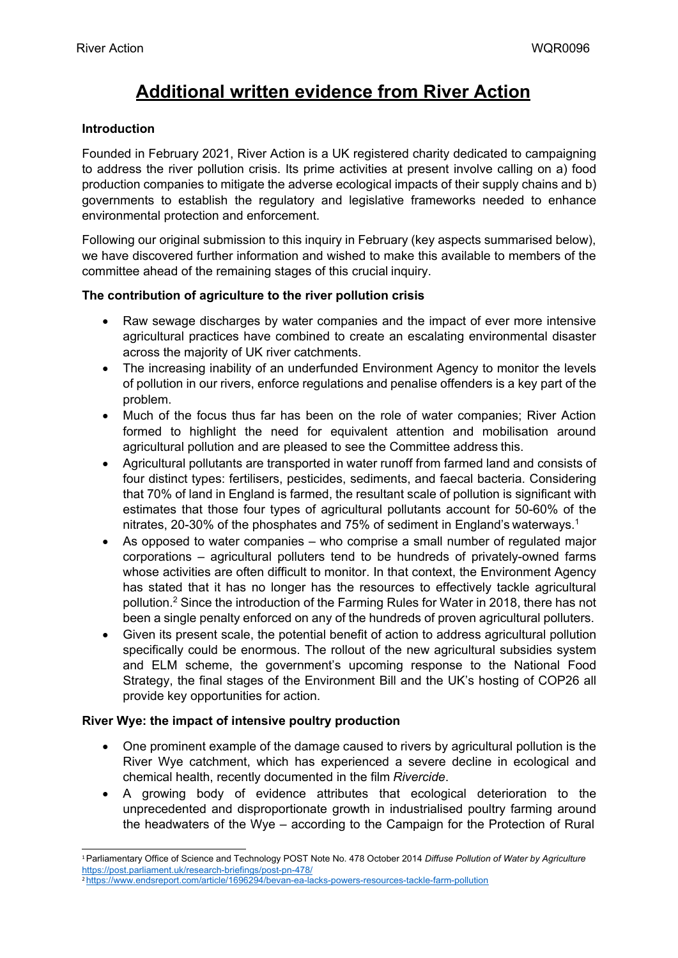# **Additional written evidence from River Action**

## **Introduction**

Founded in February 2021, River Action is a UK registered charity dedicated to campaigning to address the river pollution crisis. Its prime activities at present involve calling on a) food production companies to mitigate the adverse ecological impacts of their supply chains and b) governments to establish the regulatory and legislative frameworks needed to enhance environmental protection and enforcement.

Following our original submission to this inquiry in February (key aspects summarised below), we have discovered further information and wished to make this available to members of the committee ahead of the remaining stages of this crucial inquiry.

## **The contribution of agriculture to the river pollution crisis**

- Raw sewage discharges by water companies and the impact of ever more intensive agricultural practices have combined to create an escalating environmental disaster across the majority of UK river catchments.
- The increasing inability of an underfunded Environment Agency to monitor the levels of pollution in our rivers, enforce regulations and penalise offenders is a key part of the problem.
- Much of the focus thus far has been on the role of water companies; River Action formed to highlight the need for equivalent attention and mobilisation around agricultural pollution and are pleased to see the Committee address this.
- Agricultural pollutants are transported in water runoff from farmed land and consists of four distinct types: fertilisers, pesticides, sediments, and faecal bacteria. Considering that 70% of land in England is farmed, the resultant scale of pollution is significant with estimates that those four types of agricultural pollutants account for 50-60% of the nitrates, 20-30% of the phosphates and 75% of sediment in England's waterways.<sup>1</sup>
- As opposed to water companies who comprise a small number of regulated major corporations – agricultural polluters tend to be hundreds of privately-owned farms whose activities are often difficult to monitor. In that context, the Environment Agency has stated that it has no longer has the resources to effectively tackle agricultural pollution.<sup>2</sup> Since the introduction of the Farming Rules for Water in 2018, there has not been a single penalty enforced on any of the hundreds of proven agricultural polluters.
- Given its present scale, the potential benefit of action to address agricultural pollution specifically could be enormous. The rollout of the new agricultural subsidies system and ELM scheme, the government's upcoming response to the National Food Strategy, the final stages of the Environment Bill and the UK's hosting of COP26 all provide key opportunities for action.

### **River Wye: the impact of intensive poultry production**

- One prominent example of the damage caused to rivers by agricultural pollution is the River Wye catchment, which has experienced a severe decline in ecological and chemical health, recently documented in the film *Rivercide*.
- A growing body of evidence attributes that ecological deterioration to the unprecedented and disproportionate growth in industrialised poultry farming around the headwaters of the Wye – according to the Campaign for the Protection of Rural

<sup>1</sup>Parliamentary Office of Science and Technology POST Note No. 478 October 2014 *Diffuse Pollution of Water by Agriculture* <https://post.parliament.uk/research-briefings/post-pn-478/>

<sup>2</sup> <https://www.endsreport.com/article/1696294/bevan-ea-lacks-powers-resources-tackle-farm-pollution>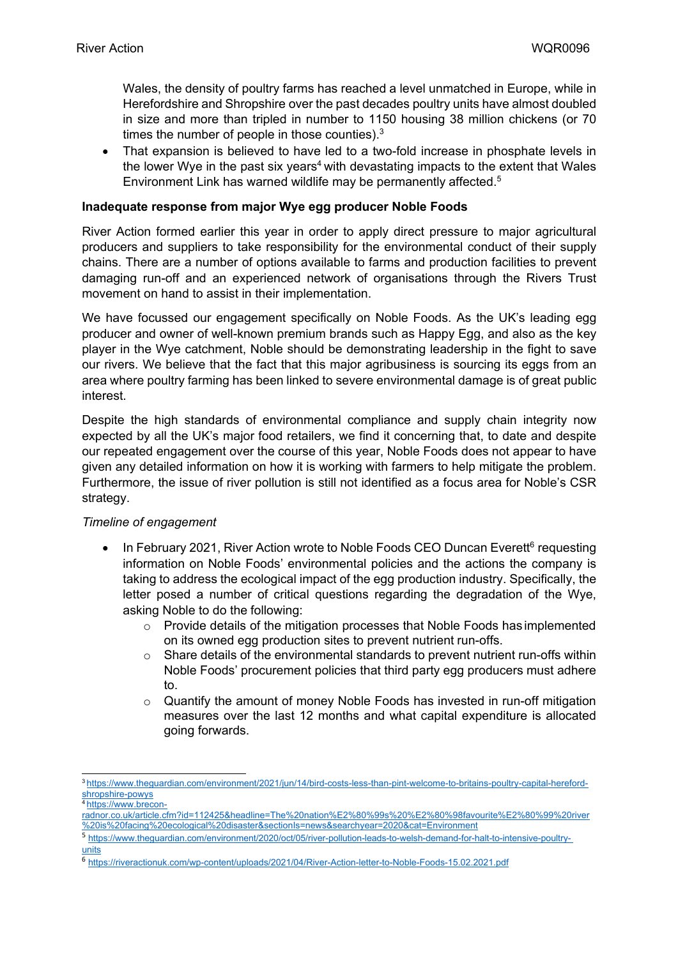Wales, the density of poultry farms has reached a level unmatched in Europe, while in Herefordshire and Shropshire over the past decades poultry units have almost doubled in size and more than tripled in number to 1150 housing 38 million chickens (or 70 times the number of people in those counties).<sup>3</sup>

 That expansion is believed to have led to a two-fold increase in phosphate levels in the lower Wye in the past six years<sup>4</sup> with devastating impacts to the extent that Wales Environment Link has warned wildlife may be permanently affected.<sup>5</sup>

### **Inadequate response from major Wye egg producer Noble Foods**

River Action formed earlier this year in order to apply direct pressure to major agricultural producers and suppliers to take responsibility for the environmental conduct of their supply chains. There are a number of options available to farms and production facilities to prevent damaging run-off and an experienced network of organisations through the Rivers Trust movement on hand to assist in their implementation.

We have focussed our engagement specifically on Noble Foods. As the UK's leading egg producer and owner of well-known premium brands such as Happy Egg, and also as the key player in the Wye catchment, Noble should be demonstrating leadership in the fight to save our rivers. We believe that the fact that this major agribusiness is sourcing its eggs from an area where poultry farming has been linked to severe environmental damage is of great public interest.

Despite the high standards of environmental compliance and supply chain integrity now expected by all the UK's major food retailers, we find it concerning that, to date and despite our repeated engagement over the course of this year, Noble Foods does not appear to have given any detailed information on how it is working with farmers to help mitigate the problem. Furthermore, the issue of river pollution is still not identified as a focus area for Noble's CSR strategy.

### *Timeline of engagement*

- In February 2021, River Action wrote to Noble Foods CEO Duncan Everett<sup>6</sup> requesting information on Noble Foods' environmental policies and the actions the company is taking to address the ecological impact of the egg production industry. Specifically, the letter posed a number of critical questions regarding the degradation of the Wye, asking Noble to do the following:
	- $\circ$  Provide details of the mitigation processes that Noble Foods has implemented on its owned egg production sites to prevent nutrient run-offs.
	- $\circ$  Share details of the environmental standards to prevent nutrient run-offs within Noble Foods' procurement policies that third party egg producers must adhere to.
	- o Quantify the amount of money Noble Foods has invested in run-off mitigation measures over the last 12 months and what capital expenditure is allocated going forwards.

<sup>3</sup> [https://www.theguardian.com/environment/2021/jun/14/bird-costs-less-than-pint-welcome-to-britains-poultry-capital-hereford](https://www.theguardian.com/environment/2021/jun/14/bird-costs-less-than-pint-welcome-to-britains-poultry-capital-hereford-shropshire-powys)[shropshire-powys](https://www.theguardian.com/environment/2021/jun/14/bird-costs-less-than-pint-welcome-to-britains-poultry-capital-hereford-shropshire-powys)

<sup>4</sup> [https://www.brecon-](https://www.brecon-radnor.co.uk/article.cfm?id=112425&headline=The%20nation%E2%80%99s%20%E2%80%98favourite%E2%80%99%20river%20is%20facing%20ecological%20disaster§ionIs=news&searchyear=2020&cat=Environment)

[radnor.co.uk/article.cfm?id=112425&headline=The%20nation%E2%80%99s%20%E2%80%98favourite%E2%80%99%20river](https://www.brecon-radnor.co.uk/article.cfm?id=112425&headline=The%20nation%E2%80%99s%20%E2%80%98favourite%E2%80%99%20river%20is%20facing%20ecological%20disaster§ionIs=news&searchyear=2020&cat=Environment) [%20is%20facing%20ecological%20disaster&sectionIs=news&searchyear=2020&cat=Environment](https://www.brecon-radnor.co.uk/article.cfm?id=112425&headline=The%20nation%E2%80%99s%20%E2%80%98favourite%E2%80%99%20river%20is%20facing%20ecological%20disaster§ionIs=news&searchyear=2020&cat=Environment)

<sup>5</sup> https://ww[w.t](https://www.theguardian.com/environment/2020/oct/05/river-pollution-leads-to-welsh-demand-for-halt-to-intensive-poultry-units)heguardia[n.](https://www.theguardian.com/environment/2020/oct/05/river-pollution-leads-to-welsh-demand-for-halt-to-intensive-poultry-units)co[m/e](https://www.theguardian.com/environment/2020/oct/05/river-pollution-leads-to-welsh-demand-for-halt-to-intensive-poultry-units)nvironmen[t/](https://www.theguardian.com/environment/2020/oct/05/river-pollution-leads-to-welsh-demand-for-halt-to-intensive-poultry-units)2020[/o](https://www.theguardian.com/environment/2020/oct/05/river-pollution-leads-to-welsh-demand-for-halt-to-intensive-poultry-units)c[t/05/r](https://www.theguardian.com/environment/2020/oct/05/river-pollution-leads-to-welsh-demand-for-halt-to-intensive-poultry-units)iver[-p](https://www.theguardian.com/environment/2020/oct/05/river-pollution-leads-to-welsh-demand-for-halt-to-intensive-poultry-units)ollution[-](https://www.theguardian.com/environment/2020/oct/05/river-pollution-leads-to-welsh-demand-for-halt-to-intensive-poultry-units)lead[s-t](https://www.theguardian.com/environment/2020/oct/05/river-pollution-leads-to-welsh-demand-for-halt-to-intensive-poultry-units)o[-](https://www.theguardian.com/environment/2020/oct/05/river-pollution-leads-to-welsh-demand-for-halt-to-intensive-poultry-units)wels[h-d](https://www.theguardian.com/environment/2020/oct/05/river-pollution-leads-to-welsh-demand-for-halt-to-intensive-poultry-units)emand[-](https://www.theguardian.com/environment/2020/oct/05/river-pollution-leads-to-welsh-demand-for-halt-to-intensive-poultry-units)fo[r-](https://www.theguardian.com/environment/2020/oct/05/river-pollution-leads-to-welsh-demand-for-halt-to-intensive-poultry-units)halt[-](https://www.theguardian.com/environment/2020/oct/05/river-pollution-leads-to-welsh-demand-for-halt-to-intensive-poultry-units)to[-i](https://www.theguardian.com/environment/2020/oct/05/river-pollution-leads-to-welsh-demand-for-halt-to-intensive-poultry-units)ntensive[-](https://www.theguardian.com/environment/2020/oct/05/river-pollution-leads-to-welsh-demand-for-halt-to-intensive-poultry-units)poultry[units](https://www.theguardian.com/environment/2020/oct/05/river-pollution-leads-to-welsh-demand-for-halt-to-intensive-poultry-units)

<sup>6</sup> <https://riveractionuk.com/wp-content/uploads/2021/04/River-Action-letter-to-Noble-Foods-15.02.2021.pdf>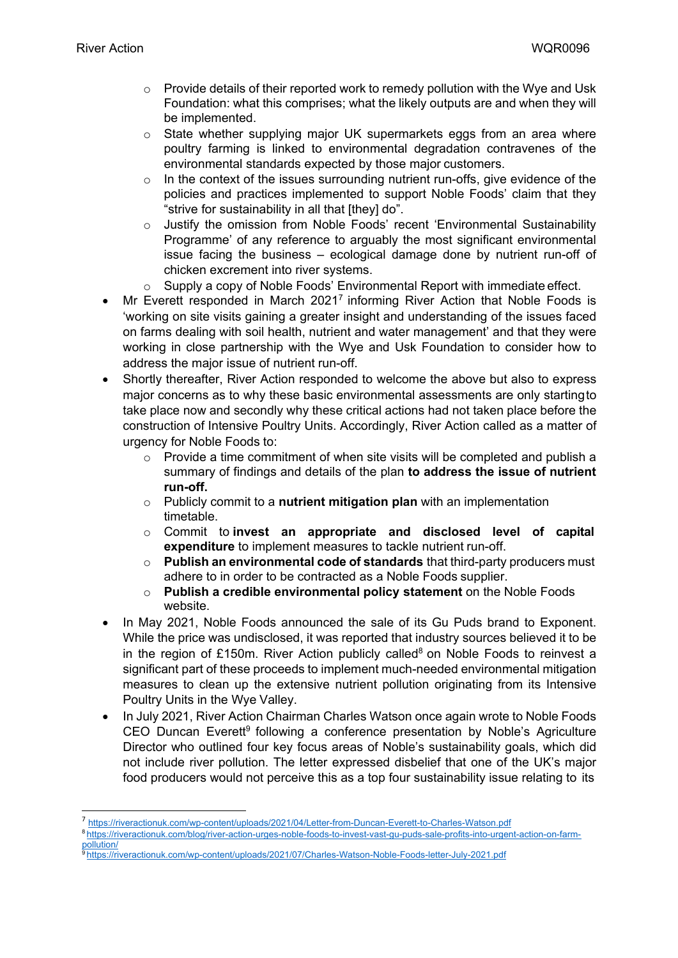- $\circ$  Provide details of their reported work to remedy pollution with the Wye and Usk Foundation: what this comprises; what the likely outputs are and when they will be implemented.
- $\circ$  State whether supplying major UK supermarkets eggs from an area where poultry farming is linked to environmental degradation contravenes of the environmental standards expected by those major customers.
- $\circ$  In the context of the issues surrounding nutrient run-offs, give evidence of the policies and practices implemented to support Noble Foods' claim that they "strive for sustainability in all that [they] do".
- o Justify the omission from Noble Foods' recent 'Environmental Sustainability Programme' of any reference to arguably the most significant environmental issue facing the business – ecological damage done by nutrient run-off of chicken excrement into river systems.
- $\circ$  Supply a copy of Noble Foods' Environmental Report with immediate effect.
- Mr Everett responded in March 2021<sup>7</sup> informing River Action that Noble Foods is 'working on site visits gaining a greater insight and understanding of the issues faced on farms dealing with soil health, nutrient and water management' and that they were working in close partnership with the Wye and Usk Foundation to consider how to address the major issue of nutrient run-off.
- Shortly thereafter, River Action responded to welcome the above but also to express major concerns as to why these basic environmental assessments are only startingto take place now and secondly why these critical actions had not taken place before the construction of Intensive Poultry Units. Accordingly, River Action called as a matter of urgency for Noble Foods to:
	- $\circ$  Provide a time commitment of when site visits will be completed and publish a summary of findings and details of the plan **to address the issue of nutrient run-off.**
	- o Publicly commit to a **nutrient mitigation plan** with an implementation timetable.
	- o Commit to **invest an appropriate and disclosed level of capital expenditure** to implement measures to tackle nutrient run-off.
	- o **Publish an environmental code of standards** that third-party producers must adhere to in order to be contracted as a Noble Foods supplier.
	- o **Publish a credible environmental policy statement** on the Noble Foods website.
- In May 2021, Noble Foods announced the sale of its Gu Puds brand to Exponent. While the price was undisclosed, it was reported that industry sources believed it to be in the region of £150m. River Action publicly called $8$  on Noble Foods to reinvest a significant part of these proceeds to implement much-needed environmental mitigation measures to clean up the extensive nutrient pollution originating from its Intensive Poultry Units in the Wye Valley.
- In July 2021, River Action Chairman Charles Watson once again wrote to Noble Foods CEO Duncan Everett<sup>9</sup> following a conference presentation by Noble's Agriculture Director who outlined four key focus areas of Noble's sustainability goals, which did not include river pollution. The letter expressed disbelief that one of the UK's major food producers would not perceive this as a top four sustainability issue relating to its

<sup>7</sup> <https://riveractionuk.com/wp-content/uploads/2021/04/Letter-from-Duncan-Everett-to-Charles-Watson.pdf> <sup>8</sup> https://riveractionuk.com/blog/river-action-urges-noble-foods-to-invest-vast-gu-puds-sale-profits-into-urgent-action-on-farmpollution/

<sup>9</sup> <https://riveractionuk.com/wp-content/uploads/2021/07/Charles-Watson-Noble-Foods-letter-July-2021.pdf>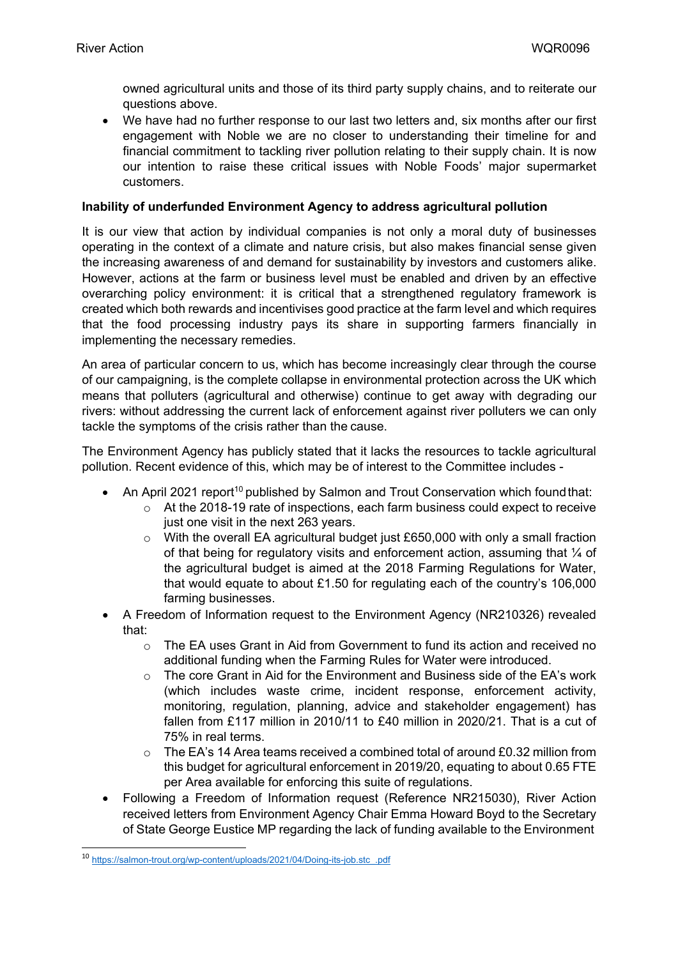owned agricultural units and those of its third party supply chains, and to reiterate our questions above.

 We have had no further response to our last two letters and, six months after our first engagement with Noble we are no closer to understanding their timeline for and financial commitment to tackling river pollution relating to their supply chain. It is now our intention to raise these critical issues with Noble Foods' major supermarket customers.

#### **Inability of underfunded Environment Agency to address agricultural pollution**

It is our view that action by individual companies is not only a moral duty of businesses operating in the context of a climate and nature crisis, but also makes financial sense given the increasing awareness of and demand for sustainability by investors and customers alike. However, actions at the farm or business level must be enabled and driven by an effective overarching policy environment: it is critical that a strengthened regulatory framework is created which both rewards and incentivises good practice at the farm level and which requires that the food processing industry pays its share in supporting farmers financially in implementing the necessary remedies.

An area of particular concern to us, which has become increasingly clear through the course of our campaigning, is the complete collapse in environmental protection across the UK which means that polluters (agricultural and otherwise) continue to get away with degrading our rivers: without addressing the current lack of enforcement against river polluters we can only tackle the symptoms of the crisis rather than the cause.

The Environment Agency has publicly stated that it lacks the resources to tackle agricultural pollution. Recent evidence of this, which may be of interest to the Committee includes -

- An April 2021 report<sup>10</sup> published by Salmon and Trout Conservation which found that:
	- $\circ$  At the 2018-19 rate of inspections, each farm business could expect to receive just one visit in the next 263 years.
	- $\circ$  With the overall EA agricultural budget just £650,000 with only a small fraction of that being for regulatory visits and enforcement action, assuming that ¼ of the agricultural budget is aimed at the 2018 Farming Regulations for Water, that would equate to about £1.50 for regulating each of the country's 106,000 farming businesses.
- A Freedom of Information request to the Environment Agency (NR210326) revealed that:
	- $\circ$  The EA uses Grant in Aid from Government to fund its action and received no additional funding when the Farming Rules for Water were introduced.
	- o The core Grant in Aid for the Environment and Business side of the EA's work (which includes waste crime, incident response, enforcement activity, monitoring, regulation, planning, advice and stakeholder engagement) has fallen from £117 million in 2010/11 to £40 million in 2020/21. That is a cut of 75% in real terms.
	- $\circ$  The EA's 14 Area teams received a combined total of around £0.32 million from this budget for agricultural enforcement in 2019/20, equating to about 0.65 FTE per Area available for enforcing this suite of regulations.
- Following a Freedom of Information request (Reference NR215030), River Action received letters from Environment Agency Chair Emma Howard Boyd to the Secretary of State George Eustice MP regarding the lack of funding available to the Environment

<sup>&</sup>lt;sup>10</sup> [https://salmon-trout.org/wp-content/uploads/2021/04/Doing-its-job.stc\\_.pdf](https://salmon-trout.org/wp-content/uploads/2021/04/Doing-its-job.stc_.pdf)